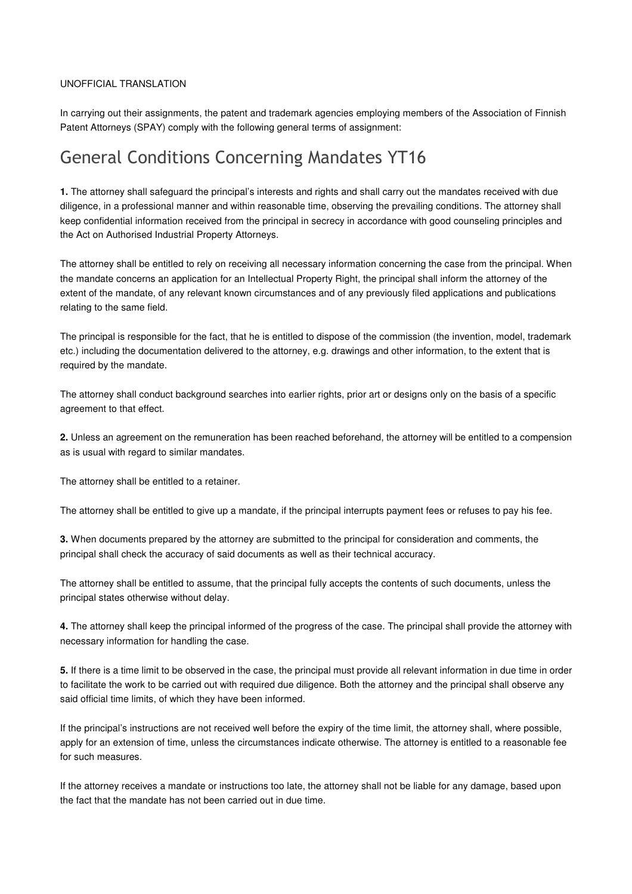## UNOFFICIAL TRANSLATION

In carrying out their assignments, the patent and trademark agencies employing members of the Association of Finnish Patent Attorneys (SPAY) comply with the following general terms of assignment:

## General Conditions Concerning Mandates YT16

**1.** The attorney shall safeguard the principal's interests and rights and shall carry out the mandates received with due diligence, in a professional manner and within reasonable time, observing the prevailing conditions. The attorney shall keep confidential information received from the principal in secrecy in accordance with good counseling principles and the Act on Authorised Industrial Property Attorneys.

The attorney shall be entitled to rely on receiving all necessary information concerning the case from the principal. When the mandate concerns an application for an Intellectual Property Right, the principal shall inform the attorney of the extent of the mandate, of any relevant known circumstances and of any previously filed applications and publications relating to the same field.

The principal is responsible for the fact, that he is entitled to dispose of the commission (the invention, model, trademark etc.) including the documentation delivered to the attorney, e.g. drawings and other information, to the extent that is required by the mandate.

The attorney shall conduct background searches into earlier rights, prior art or designs only on the basis of a specific agreement to that effect.

**2.** Unless an agreement on the remuneration has been reached beforehand, the attorney will be entitled to a compension as is usual with regard to similar mandates.

The attorney shall be entitled to a retainer.

The attorney shall be entitled to give up a mandate, if the principal interrupts payment fees or refuses to pay his fee.

**3.** When documents prepared by the attorney are submitted to the principal for consideration and comments, the principal shall check the accuracy of said documents as well as their technical accuracy.

The attorney shall be entitled to assume, that the principal fully accepts the contents of such documents, unless the principal states otherwise without delay.

**4.** The attorney shall keep the principal informed of the progress of the case. The principal shall provide the attorney with necessary information for handling the case.

**5.** If there is a time limit to be observed in the case, the principal must provide all relevant information in due time in order to facilitate the work to be carried out with required due diligence. Both the attorney and the principal shall observe any said official time limits, of which they have been informed.

If the principal's instructions are not received well before the expiry of the time limit, the attorney shall, where possible, apply for an extension of time, unless the circumstances indicate otherwise. The attorney is entitled to a reasonable fee for such measures.

If the attorney receives a mandate or instructions too late, the attorney shall not be liable for any damage, based upon the fact that the mandate has not been carried out in due time.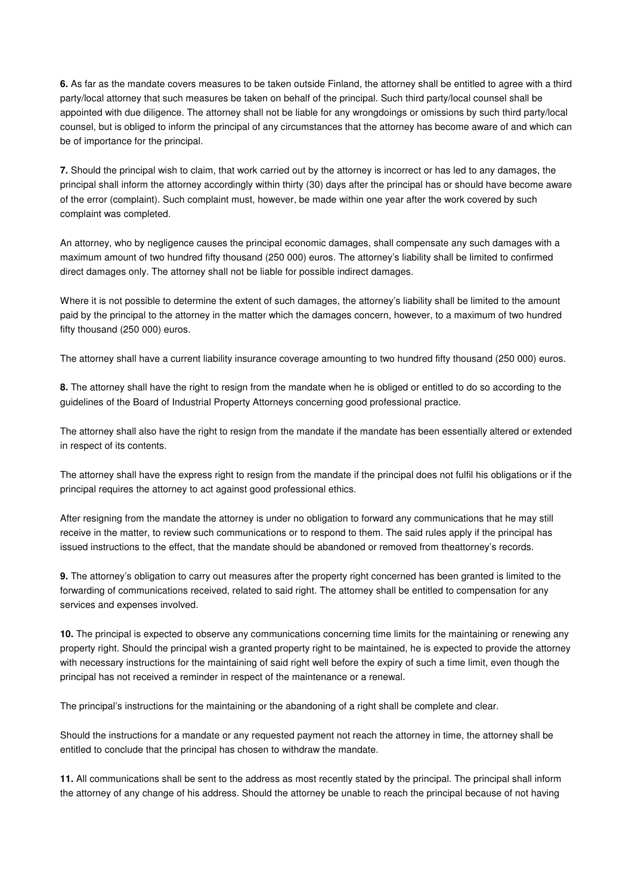**6.** As far as the mandate covers measures to be taken outside Finland, the attorney shall be entitled to agree with a third party/local attorney that such measures be taken on behalf of the principal. Such third party/local counsel shall be appointed with due diligence. The attorney shall not be liable for any wrongdoings or omissions by such third party/local counsel, but is obliged to inform the principal of any circumstances that the attorney has become aware of and which can be of importance for the principal.

**7.** Should the principal wish to claim, that work carried out by the attorney is incorrect or has led to any damages, the principal shall inform the attorney accordingly within thirty (30) days after the principal has or should have become aware of the error (complaint). Such complaint must, however, be made within one year after the work covered by such complaint was completed.

An attorney, who by negligence causes the principal economic damages, shall compensate any such damages with a maximum amount of two hundred fifty thousand (250 000) euros. The attorney's liability shall be limited to confirmed direct damages only. The attorney shall not be liable for possible indirect damages.

Where it is not possible to determine the extent of such damages, the attorney's liability shall be limited to the amount paid by the principal to the attorney in the matter which the damages concern, however, to a maximum of two hundred fifty thousand (250 000) euros.

The attorney shall have a current liability insurance coverage amounting to two hundred fifty thousand (250 000) euros.

**8.** The attorney shall have the right to resign from the mandate when he is obliged or entitled to do so according to the guidelines of the Board of Industrial Property Attorneys concerning good professional practice.

The attorney shall also have the right to resign from the mandate if the mandate has been essentially altered or extended in respect of its contents.

The attorney shall have the express right to resign from the mandate if the principal does not fulfil his obligations or if the principal requires the attorney to act against good professional ethics.

After resigning from the mandate the attorney is under no obligation to forward any communications that he may still receive in the matter, to review such communications or to respond to them. The said rules apply if the principal has issued instructions to the effect, that the mandate should be abandoned or removed from theattorney's records.

**9.** The attorney's obligation to carry out measures after the property right concerned has been granted is limited to the forwarding of communications received, related to said right. The attorney shall be entitled to compensation for any services and expenses involved.

**10.** The principal is expected to observe any communications concerning time limits for the maintaining or renewing any property right. Should the principal wish a granted property right to be maintained, he is expected to provide the attorney with necessary instructions for the maintaining of said right well before the expiry of such a time limit, even though the principal has not received a reminder in respect of the maintenance or a renewal.

The principal's instructions for the maintaining or the abandoning of a right shall be complete and clear.

Should the instructions for a mandate or any requested payment not reach the attorney in time, the attorney shall be entitled to conclude that the principal has chosen to withdraw the mandate.

**11.** All communications shall be sent to the address as most recently stated by the principal. The principal shall inform the attorney of any change of his address. Should the attorney be unable to reach the principal because of not having